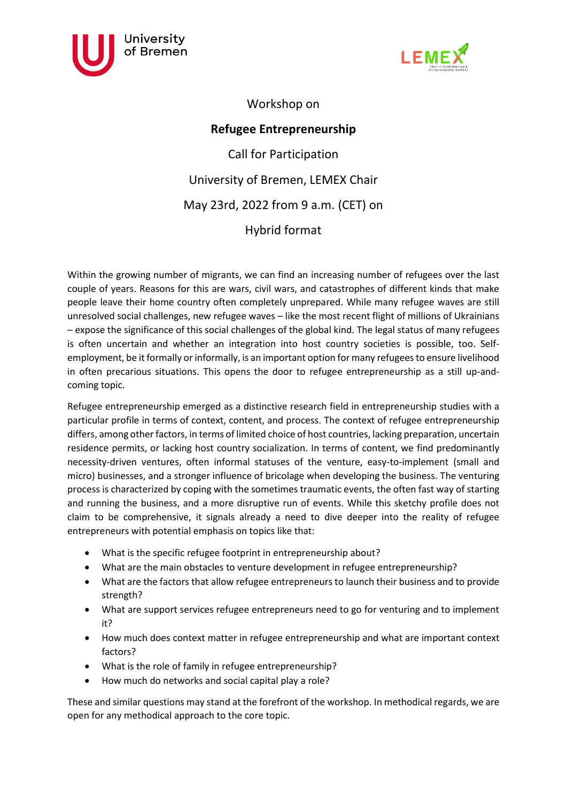



Workshop on

**Refugee Entrepreneurship** Call for Participation University of Bremen, LEMEX Chair May 23rd, 2022 from 9 a.m. (CET) on Hybrid format

Within the growing number of migrants, we can find an increasing number of refugees over the last couple of years. Reasons for this are wars, civil wars, and catastrophes of different kinds that make people leave their home country often completely unprepared. While many refugee waves are still unresolved social challenges, new refugee waves – like the most recent flight of millions of Ukrainians – expose the significance of this social challenges of the global kind. The legal status of many refugees is often uncertain and whether an integration into host country societies is possible, too. Selfemployment, be it formally or informally, is an important option for many refugees to ensure livelihood in often precarious situations. This opens the door to refugee entrepreneurship as a still up-andcoming topic.

Refugee entrepreneurship emerged as a distinctive research field in entrepreneurship studies with a particular profile in terms of context, content, and process. The context of refugee entrepreneurship differs, among other factors, in terms of limited choice of host countries, lacking preparation, uncertain residence permits, or lacking host country socialization. In terms of content, we find predominantly necessity-driven ventures, often informal statuses of the venture, easy-to-implement (small and micro) businesses, and a stronger influence of bricolage when developing the business. The venturing process is characterized by coping with the sometimes traumatic events, the often fast way of starting and running the business, and a more disruptive run of events. While this sketchy profile does not claim to be comprehensive, it signals already a need to dive deeper into the reality of refugee entrepreneurs with potential emphasis on topics like that:

- What is the specific refugee footprint in entrepreneurship about?
- What are the main obstacles to venture development in refugee entrepreneurship?
- What are the factors that allow refugee entrepreneurs to launch their business and to provide strength?
- What are support services refugee entrepreneurs need to go for venturing and to implement it?
- How much does context matter in refugee entrepreneurship and what are important context factors?
- What is the role of family in refugee entrepreneurship?
- How much do networks and social capital play a role?

These and similar questions may stand at the forefront of the workshop. In methodical regards, we are open for any methodical approach to the core topic.